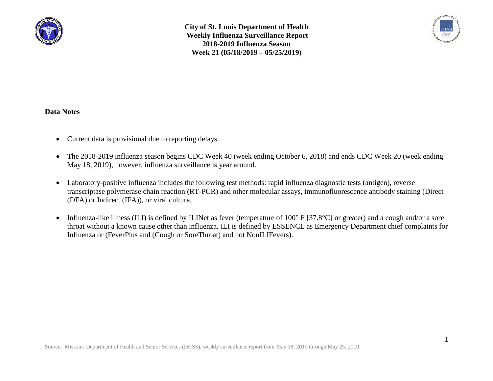



### **Data Notes**

- Current data is provisional due to reporting delays.
- The 2018-2019 influenza season begins CDC Week 40 (week ending October 6, 2018) and ends CDC Week 20 (week ending May 18, 2019), however, influenza surveillance is year around.
- Laboratory-positive influenza includes the following test methods: rapid influenza diagnostic tests (antigen), reverse transcriptase polymerase chain reaction (RT-PCR) and other molecular assays, immunofluorescence antibody staining (Direct (DFA) or Indirect (IFA)), or viral culture.
- Influenza-like illness (ILI) is defined by ILINet as fever (temperature of  $100^{\circ}$  F [37.8°C] or greater) and a cough and/or a sore throat without a known cause other than influenza. ILI is defined by ESSENCE as Emergency Department chief complaints for Influenza or (FeverPlus and (Cough or SoreThroat) and not NonILIFevers).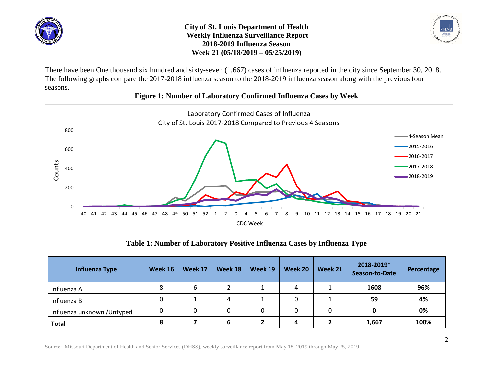



There have been One thousand six hundred and sixty-seven (1,667) cases of influenza reported in the city since September 30, 2018. The following graphs compare the 2017-2018 influenza season to the 2018-2019 influenza season along with the previous four seasons.



### **Figure 1: Number of Laboratory Confirmed Influenza Cases by Week**

**Table 1: Number of Laboratory Positive Influenza Cases by Influenza Type**

| <b>Influenza Type</b>       | Week 16 | Week 17 | Week 18 | Week 19 | Week 20 | Week 21 | 2018-2019*<br>Season-to-Date | Percentage |
|-----------------------------|---------|---------|---------|---------|---------|---------|------------------------------|------------|
| Influenza A                 | 8       |         |         |         | 4       |         | 1608                         | 96%        |
| Influenza B                 | 0       |         | 4       |         |         |         | 59                           | 4%         |
| Influenza unknown / Untyped | 0       |         | 0       | 0       | 0       |         |                              | 0%         |
| <b>Total</b>                | 8       |         | 6       |         | 4       |         | 1,667                        | 100%       |

Source: Missouri Department of Health and Senior Services (DHSS), weekly surveillance report from May 18, 2019 through May 25, 2019.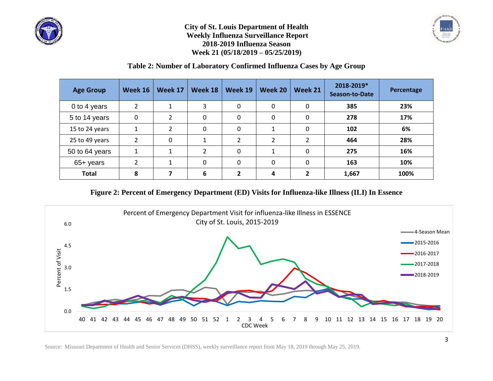



# **Table 2: Number of Laboratory Confirmed Influenza Cases by Age Group**

| <b>Age Group</b> | Week 16        | Week 17              | <b>Week 18</b> | Week 19       | Week 20        | Week 21  | 2018-2019*<br><b>Season-to-Date</b> | Percentage |
|------------------|----------------|----------------------|----------------|---------------|----------------|----------|-------------------------------------|------------|
| 0 to 4 years     | $\overline{2}$ | $\blacktriangleleft$ | 3              | $\mathbf 0$   | 0              | 0        | 385                                 | 23%        |
| 5 to 14 years    | $\Omega$       | $\overline{2}$       | 0              | $\mathbf{0}$  | $\mathbf 0$    | 0        | 278                                 | 17%        |
| 15 to 24 years   | 1              | $\overline{2}$       | 0              | $\mathbf{0}$  |                | 0        | 102                                 | 6%         |
| 25 to 49 years   | $\mathcal{P}$  | 0                    | 1              | $\mathcal{P}$ | $\overline{2}$ | っ        | 464                                 | 28%        |
| 50 to 64 years   | 1              |                      | $\overline{2}$ | $\Omega$      | 1              | $\Omega$ | 275                                 | 16%        |
| 65+ years        |                |                      | $\Omega$       | $\mathbf{0}$  | $\Omega$       | $\Omega$ | 163                                 | 10%        |
| <b>Total</b>     | 8              |                      | 6              | ν.            | 4              | 2        | 1,667                               | 100%       |

### **Figure 2: Percent of Emergency Department (ED) Visits for Influenza-like Illness (ILI) In Essence**



Source: Missouri Department of Health and Senior Services (DHSS), weekly surveillance report from May 18, 2019 through May 25, 2019.